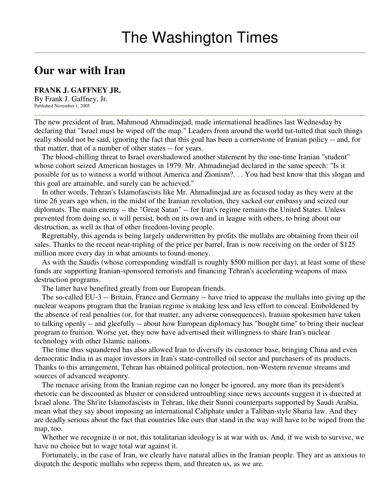## **Our war with Iran**

## **FRANK J. GAFFNEY JR.**

By Frank J. Gaffney, Jr. Published November 1, 2005

The new president of Iran, Mahmoud Ahmadinejad, made international headlines last Wednesday by declaring that "Israel must be wiped off the map." Leaders from around the world tut-tutted that such things really should not be said, ignoring the fact that this goal has been a cornerstone of Iranian policy -- and, for that matter, that of a number of other states -- for years.

The blood-chilling threat to Israel overshadowed another statement by the one-time Iranian "student" whose cohort seized American hostages in 1979. Mr. Ahmadinejad declared in the same speech: "Is it possible for us to witness a world without America and Zionism?. . . You had best know that this slogan and this goal are attainable, and surely can be achieved."

In other words, Tehran's Islamofascists like Mr. Ahmadinejad are as focused today as they were at the time 26 years ago when, in the midst of the Iranian revolution, they sacked our embassy and seized our diplomats. The main enemy -- the "Great Satan" -- for Iran's regime remains the United States. Unless prevented from doing so, it will persist, both on its own and in league with others, to bring about our destruction, as well as that of other freedom-loving people.

Regrettably, this agenda is being largely underwritten by profits the mullahs are obtaining from their oil sales. Thanks to the recent near-tripling of the price per barrel, Iran is now receiving on the order of \$125 million more every day in what amounts to found-money.

As with the Saudis (whose corresponding windfall is roughly \$500 million per day), at least some of these funds are supporting Iranian-sponsored terrorists and financing Tehran's accelerating weapons of mass destruction programs.

The latter have benefited greatly from our European friends.

The so-called EU-3 -- Britain, France and Germany -- have tried to appease the mullahs into giving up the nuclear weapons program that the Iranian regime is making less and less effort to conceal. Emboldened by the absence of real penalties (or, for that matter, any adverse consequences), Iranian spokesmen have taken to talking openly -- and gleefully -- about how European diplomacy has "bought time" to bring their nuclear program to fruition. Worse yet, they now have advertised their willingness to share Iran's nuclear technology with other Islamic nations.

The time thus squandered has also allowed Iran to diversify its customer base, bringing China and even democratic India in as major investors in Iran's state-controlled oil sector and purchasers of its products. Thanks to this arrangement, Tehran has obtained political protection, non-Western revenue streams and sources of advanced weaponry.

The menace arising from the Iranian regime can no longer be ignored, any more than its president's rhetoric can be discounted as bluster or considered untroubling since news accounts suggest it is directed at Israel alone. The Shi'ite Islamofascists in Tehran, like their Sunni counterparts supported by Saudi Arabia, mean what they say about imposing an international Caliphate under a Taliban-style Sharia law. And they are deadly serious about the fact that countries like ours that stand in the way will have to be wiped from the map, too.

Whether we recognize it or not, this totalitarian ideology is at war with us. And, if we wish to survive, we have no choice but to wage total war against it.

Fortunately, in the case of Iran, we clearly have natural allies in the Iranian people. They are as anxious to dispatch the despotic mullahs who repress them, and threaten us, as we are.